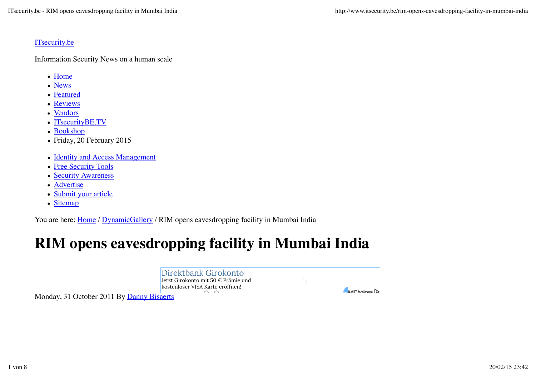### ITsecurity.be

Information Security News on a human scale

- Home
- News
- Featured
- Reviews
- Vendors
- ITsecurityBE.TV
- Bookshop
- Friday, 20 February 2015
- Identity and Access Management
- Free Security Tools
- Security Awareness
- Advertise
- Submit your article
- Sitemap

You are here: *Home* / *DynamicGallery* / RIM opens eavesdropping facility in Mumbai India

# **RIM opens eavesdropping facility in Mumbai India**

Direktbank Girokonto Jetzt Girokonto mit 50 € Prämie und kostenloser VISA Karte eröffnen!

Monday, 31 October 2011 By Danny Bisaerts

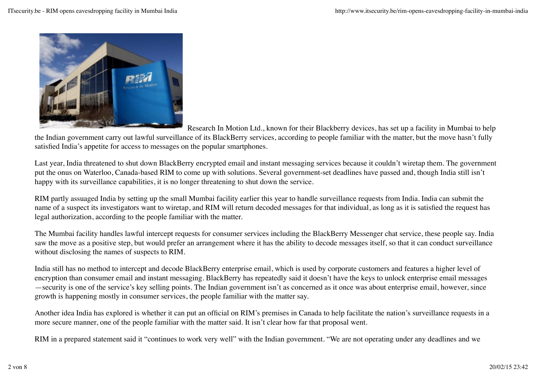

Research In Motion Ltd., known for their Blackberry devices, has set up a facility in Mumbai to help

the Indian government carry out lawful surveillance of its BlackBerry services, according to people familiar with the matter, but the move hasn't fully satisfied India's appetite for access to messages on the popular smartphones.

Last year, India threatened to shut down BlackBerry encrypted email and instant messaging services because it couldn't wiretap them. The government put the onus on Waterloo, Canada-based RIM to come up with solutions. Several government-set deadlines have passed and, though India still isn't happy with its surveillance capabilities, it is no longer threatening to shut down the service.

RIM partly assuaged India by setting up the small Mumbai facility earlier this year to handle surveillance requests from India. India can submit the name of a suspect its investigators want to wiretap, and RIM will return decoded messages for that individual, as long as it is satisfied the request has legal authorization, according to the people familiar with the matter.

The Mumbai facility handles lawful intercept requests for consumer services including the BlackBerry Messenger chat service, these people say. India saw the move as a positive step, but would prefer an arrangement where it has the ability to decode messages itself, so that it can conduct surveillance without disclosing the names of suspects to RIM.

India still has no method to intercept and decode BlackBerry enterprise email, which is used by corporate customers and features a higher level of encryption than consumer email and instant messaging. BlackBerry has repeatedly said it doesn't have the keys to unlock enterprise email messages —security is one of the service's key selling points. The Indian government isn't as concerned as it once was about enterprise email, however, since growth is happening mostly in consumer services, the people familiar with the matter say.

Another idea India has explored is whether it can put an official on RIM's premises in Canada to help facilitate the nation's surveillance requests in a more secure manner, one of the people familiar with the matter said. It isn't clear how far that proposal went.

RIM in a prepared statement said it "continues to work very well" with the Indian government. "We are not operating under any deadlines and we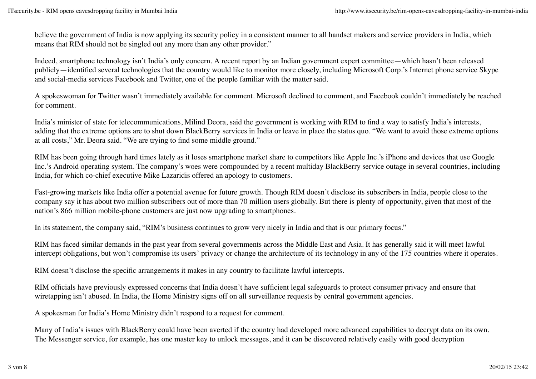believe the government of India is now applying its security policy in a consistent manner to all handset makers and service providers in India, which means that RIM should not be singled out any more than any other provider."

Indeed, smartphone technology isn't India's only concern. A recent report by an Indian government expert committee—which hasn't been released publicly—identified several technologies that the country would like to monitor more closely, including Microsoft Corp.'s Internet phone service Skype and social-media services Facebook and Twitter, one of the people familiar with the matter said.

A spokeswoman for Twitter wasn't immediately available for comment. Microsoft declined to comment, and Facebook couldn't immediately be reached for comment.

India's minister of state for telecommunications, Milind Deora, said the government is working with RIM to find a way to satisfy India's interests, adding that the extreme options are to shut down BlackBerry services in India or leave in place the status quo. "We want to avoid those extreme options at all costs," Mr. Deora said. "We are trying to find some middle ground."

RIM has been going through hard times lately as it loses smartphone market share to competitors like Apple Inc.'s iPhone and devices that use Google Inc.'s Android operating system. The company's woes were compounded by a recent multiday BlackBerry service outage in several countries, including India, for which co-chief executive Mike Lazaridis offered an apology to customers.

Fast-growing markets like India offer a potential avenue for future growth. Though RIM doesn't disclose its subscribers in India, people close to the company say it has about two million subscribers out of more than 70 million users globally. But there is plenty of opportunity, given that most of the nation's 866 million mobile-phone customers are just now upgrading to smartphones.

In its statement, the company said, "RIM's business continues to grow very nicely in India and that is our primary focus."

RIM has faced similar demands in the past year from several governments across the Middle East and Asia. It has generally said it will meet lawful intercept obligations, but won't compromise its users' privacy or change the architecture of its technology in any of the 175 countries where it operates.

RIM doesn't disclose the specific arrangements it makes in any country to facilitate lawful intercepts.

RIM officials have previously expressed concerns that India doesn't have sufficient legal safeguards to protect consumer privacy and ensure that wiretapping isn't abused. In India, the Home Ministry signs off on all surveillance requests by central government agencies.

A spokesman for India's Home Ministry didn't respond to a request for comment.

Many of India's issues with BlackBerry could have been averted if the country had developed more advanced capabilities to decrypt data on its own. The Messenger service, for example, has one master key to unlock messages, and it can be discovered relatively easily with good decryption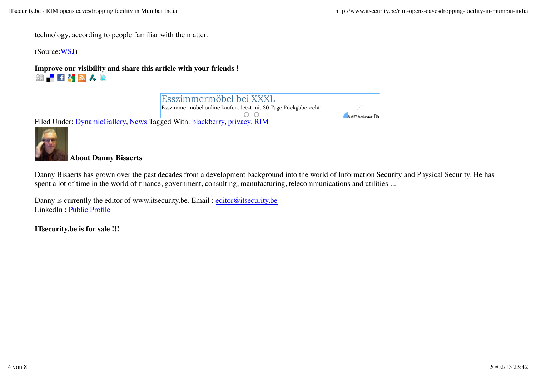AdChoices<sup>13</sup>

technology, according to people familiar with the matter.

(Source:WSJ)

```
Improve our visibility and share this article with your friends !
₩₩₩₩₩₩₩₩₩₩
```
Esszimmermöbel bei XXXL Esszimmermöbel online kaufen. Jetzt mit 30 Tage Rückgaberecht!

 $\circ$ 

Filed Under: DynamicGallery, News Tagged With: blackberry, privacy, RIM



**About Danny Bisaerts**

Danny Bisaerts has grown over the past decades from a development background into the world of Information Security and Physical Security. He has spent a lot of time in the world of finance, government, consulting, manufacturing, telecommunications and utilities ...

Danny is currently the editor of www.itsecurity.be. Email: editor@itsecurity.be LinkedIn : Public Profile

**ITsecurity.be is for sale !!!**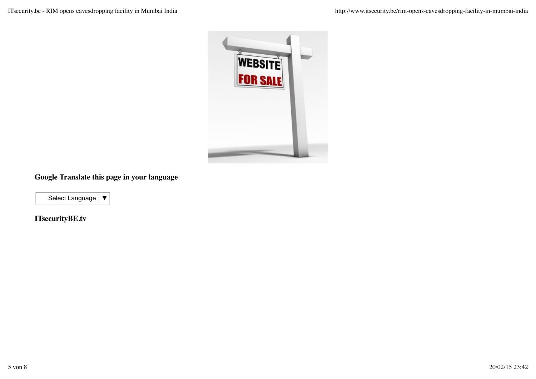

**Google Translate this page in your language**

Select Language | ▼

**ITsecurityBE.tv**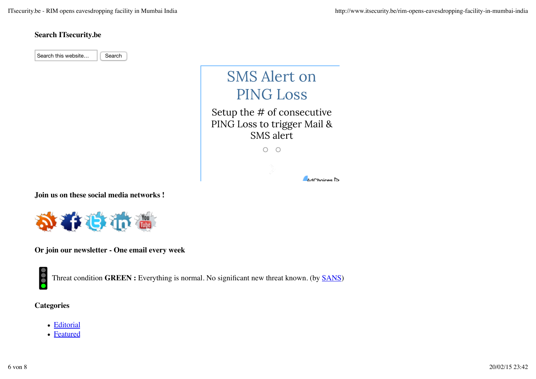#### **Search ITsecurity.be**

Search this website... **Search** 



Setup the # of consecutive PING Loss to trigger Mail & SMS alert

 $O$   $O$ 

AdChoices<sup>1</sup>

**Join us on these social media networks !**



**Or join our newsletter - One email every week**



Threat condition **GREEN** : Everything is normal. No significant new threat known. (by **SANS**)

## **Categories**

- Editorial
- Featured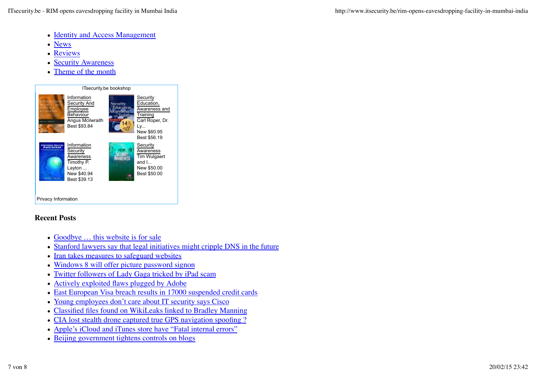- Identity and Access Management
- News
- Reviews
- Security Awareness
- Theme of the month



#### **Recent Posts**

- Goodbye ... this website is for sale
- Stanford lawyers say that legal initiatives might cripple DNS in the future
- Iran takes measures to safeguard websites
- Windows 8 will offer picture password signon
- Twitter followers of Lady Gaga tricked by iPad scam
- Actively exploited flaws plugged by Adobe  $\bullet$
- East European Visa breach results in 17000 suspended credit cards
- Young employees don't care about IT security says Cisco
- Classified files found on WikiLeaks linked to Bradley Manning
- CIA lost stealth drone captured true GPS navigation spoofing ?
- Apple's iCloud and iTunes store have "Fatal internal errors"
- Beijing government tightens controls on blogs